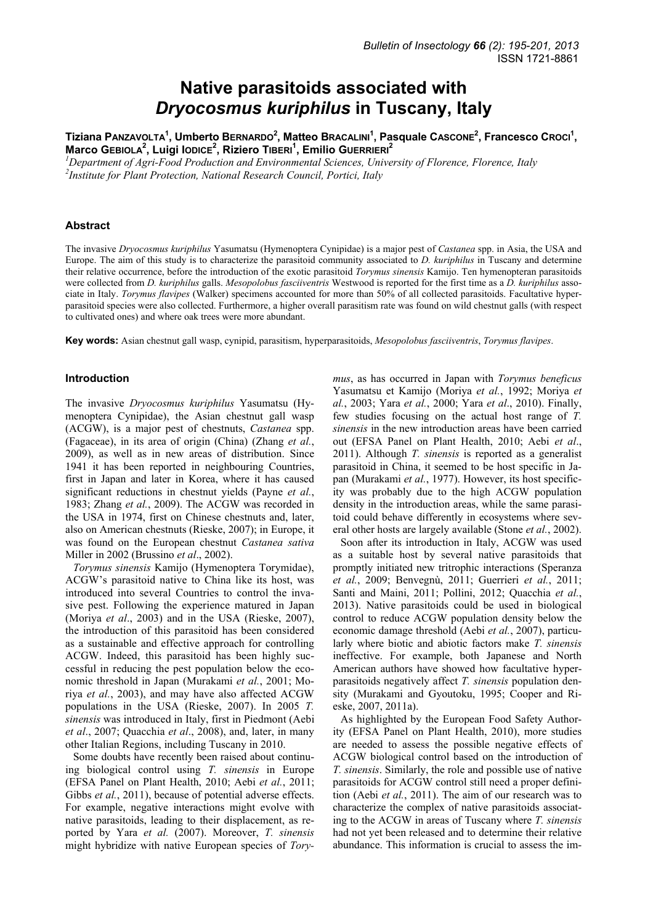# **Native parasitoids associated with**  *Dryocosmus kuriphilus* **in Tuscany, Italy**

Tiziana PanzavoLTA<sup>1</sup>, Umberto BERNARDO<sup>2</sup>, Matteo BRACALINI<sup>1</sup>, Pasquale Cascone<sup>2</sup>, Francesco CROCI<sup>1</sup>, **Marco GEBIOLA2 , Luigi IODICE<sup>2</sup> , Riziero TIBERI<sup>1</sup> , Emilio GUERRIERI<sup>2</sup>**

*1 Department of Agri-Food Production and Environmental Sciences, University of Florence, Florence, Italy 2 Institute for Plant Protection, National Research Council, Portici, Italy* 

### **Abstract**

The invasive *Dryocosmus kuriphilus* Yasumatsu (Hymenoptera Cynipidae) is a major pest of *Castanea* spp. in Asia, the USA and Europe. The aim of this study is to characterize the parasitoid community associated to *D. kuriphilus* in Tuscany and determine their relative occurrence, before the introduction of the exotic parasitoid *Torymus sinensis* Kamijo. Ten hymenopteran parasitoids were collected from *D. kuriphilus* galls. *Mesopolobus fasciiventris* Westwood is reported for the first time as a *D. kuriphilus* associate in Italy. *Torymus flavipes* (Walker) specimens accounted for more than 50% of all collected parasitoids. Facultative hyperparasitoid species were also collected. Furthermore, a higher overall parasitism rate was found on wild chestnut galls (with respect to cultivated ones) and where oak trees were more abundant.

**Key words:** Asian chestnut gall wasp, cynipid, parasitism, hyperparasitoids, *Mesopolobus fasciiventris*, *Torymus flavipes*.

#### **Introduction**

The invasive *Dryocosmus kuriphilus* Yasumatsu (Hymenoptera Cynipidae), the Asian chestnut gall wasp (ACGW), is a major pest of chestnuts, *Castanea* spp. (Fagaceae), in its area of origin (China) (Zhang *et al.*, 2009), as well as in new areas of distribution. Since 1941 it has been reported in neighbouring Countries, first in Japan and later in Korea, where it has caused significant reductions in chestnut yields (Payne *et al.*, 1983; Zhang *et al.*, 2009). The ACGW was recorded in the USA in 1974, first on Chinese chestnuts and, later, also on American chestnuts (Rieske, 2007); in Europe, it was found on the European chestnut *Castanea sativa*  Miller in 2002 (Brussino *et al*., 2002).

*Torymus sinensis* Kamijo (Hymenoptera Torymidae), ACGW's parasitoid native to China like its host, was introduced into several Countries to control the invasive pest. Following the experience matured in Japan (Moriya *et al*., 2003) and in the USA (Rieske, 2007), the introduction of this parasitoid has been considered as a sustainable and effective approach for controlling ACGW. Indeed, this parasitoid has been highly successful in reducing the pest population below the economic threshold in Japan (Murakami *et al.*, 2001; Moriya *et al.*, 2003), and may have also affected ACGW populations in the USA (Rieske, 2007). In 2005 *T. sinensis* was introduced in Italy, first in Piedmont (Aebi *et al*., 2007; Quacchia *et al*., 2008), and, later, in many other Italian Regions, including Tuscany in 2010.

Some doubts have recently been raised about continuing biological control using *T. sinensis* in Europe (EFSA Panel on Plant Health, 2010; Aebi *et al.*, 2011; Gibbs *et al.*, 2011), because of potential adverse effects. For example, negative interactions might evolve with native parasitoids, leading to their displacement, as reported by Yara *et al.* (2007). Moreover, *T. sinensis* might hybridize with native European species of *Tory-* *mus*, as has occurred in Japan with *Torymus beneficus* Yasumatsu et Kamijo (Moriya *et al.*, 1992; Moriya *et al.*, 2003; Yara *et al.*, 2000; Yara *et al*., 2010). Finally, few studies focusing on the actual host range of *T. sinensis* in the new introduction areas have been carried out (EFSA Panel on Plant Health, 2010; Aebi *et al*., 2011). Although *T. sinensis* is reported as a generalist parasitoid in China, it seemed to be host specific in Japan (Murakami *et al.*, 1977). However, its host specificity was probably due to the high ACGW population density in the introduction areas, while the same parasitoid could behave differently in ecosystems where several other hosts are largely available (Stone *et al.*, 2002).

Soon after its introduction in Italy, ACGW was used as a suitable host by several native parasitoids that promptly initiated new tritrophic interactions (Speranza *et al.*, 2009; Benvegnù, 2011; Guerrieri *et al.*, 2011; Santi and Maini, 2011; Pollini, 2012; Quacchia *et al.*, 2013). Native parasitoids could be used in biological control to reduce ACGW population density below the economic damage threshold (Aebi *et al.*, 2007), particularly where biotic and abiotic factors make *T. sinensis* ineffective. For example, both Japanese and North American authors have showed how facultative hyperparasitoids negatively affect *T. sinensis* population density (Murakami and Gyoutoku, 1995; Cooper and Rieske, 2007, 2011a).

As highlighted by the European Food Safety Authority (EFSA Panel on Plant Health, 2010), more studies are needed to assess the possible negative effects of ACGW biological control based on the introduction of *T. sinensis*. Similarly, the role and possible use of native parasitoids for ACGW control still need a proper definition (Aebi *et al.*, 2011). The aim of our research was to characterize the complex of native parasitoids associating to the ACGW in areas of Tuscany where *T. sinensis* had not yet been released and to determine their relative abundance. This information is crucial to assess the im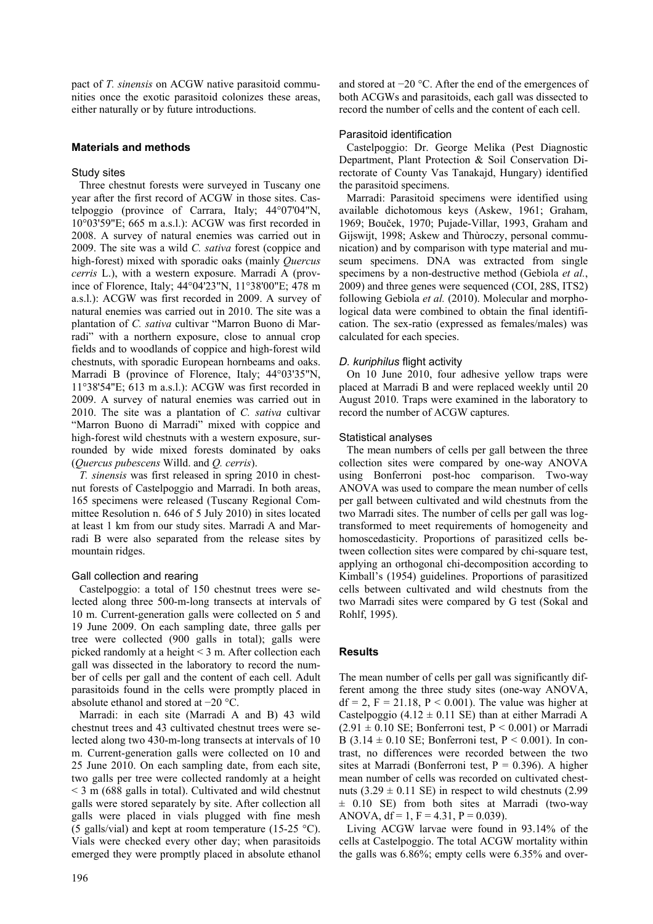pact of *T. sinensis* on ACGW native parasitoid communities once the exotic parasitoid colonizes these areas, either naturally or by future introductions.

## **Materials and methods**

## Study sites

Three chestnut forests were surveyed in Tuscany one year after the first record of ACGW in those sites. Castelpoggio (province of Carrara, Italy; 44°07'04"N, 10°03'59"E; 665 m a.s.l.): ACGW was first recorded in 2008. A survey of natural enemies was carried out in 2009. The site was a wild *C. sativa* forest (coppice and high-forest) mixed with sporadic oaks (mainly *Quercus cerris* L.), with a western exposure. Marradi A (province of Florence, Italy; 44°04'23"N, 11°38'00"E; 478 m a.s.l.): ACGW was first recorded in 2009. A survey of natural enemies was carried out in 2010. The site was a plantation of *C. sativa* cultivar "Marron Buono di Marradi" with a northern exposure, close to annual crop fields and to woodlands of coppice and high-forest wild chestnuts, with sporadic European hornbeams and oaks. Marradi B (province of Florence, Italy; 44°03'35"N, 11°38'54"E; 613 m a.s.l.): ACGW was first recorded in 2009. A survey of natural enemies was carried out in 2010. The site was a plantation of *C. sativa* cultivar "Marron Buono di Marradi" mixed with coppice and high-forest wild chestnuts with a western exposure, surrounded by wide mixed forests dominated by oaks (*Quercus pubescens* Willd. and *Q. cerris*).

*T. sinensis* was first released in spring 2010 in chestnut forests of Castelpoggio and Marradi. In both areas, 165 specimens were released (Tuscany Regional Committee Resolution n. 646 of 5 July 2010) in sites located at least 1 km from our study sites. Marradi A and Marradi B were also separated from the release sites by mountain ridges.

## Gall collection and rearing

Castelpoggio: a total of 150 chestnut trees were selected along three 500-m-long transects at intervals of 10 m. Current-generation galls were collected on 5 and 19 June 2009. On each sampling date, three galls per tree were collected (900 galls in total); galls were picked randomly at a height < 3 m. After collection each gall was dissected in the laboratory to record the number of cells per gall and the content of each cell. Adult parasitoids found in the cells were promptly placed in absolute ethanol and stored at −20 °C.

Marradi: in each site (Marradi A and B) 43 wild chestnut trees and 43 cultivated chestnut trees were selected along two 430-m-long transects at intervals of 10 m. Current-generation galls were collected on 10 and 25 June 2010. On each sampling date, from each site, two galls per tree were collected randomly at a height < 3 m (688 galls in total). Cultivated and wild chestnut galls were stored separately by site. After collection all galls were placed in vials plugged with fine mesh (5 galls/vial) and kept at room temperature (15-25  $^{\circ}$ C). Vials were checked every other day; when parasitoids emerged they were promptly placed in absolute ethanol and stored at −20 °C. After the end of the emergences of both ACGWs and parasitoids, each gall was dissected to record the number of cells and the content of each cell.

## Parasitoid identification

Castelpoggio: Dr. George Melika (Pest Diagnostic Department, Plant Protection & Soil Conservation Directorate of County Vas Tanakajd, Hungary) identified the parasitoid specimens.

Marradi: Parasitoid specimens were identified using available dichotomous keys (Askew, 1961; Graham, 1969; Bouček, 1970; Pujade-Villar, 1993, Graham and Gijswijt, 1998; Askew and Thùroczy, personal communication) and by comparison with type material and museum specimens. DNA was extracted from single specimens by a non-destructive method (Gebiola *et al.*, 2009) and three genes were sequenced (COI, 28S, ITS2) following Gebiola *et al.* (2010). Molecular and morphological data were combined to obtain the final identification. The sex-ratio (expressed as females/males) was calculated for each species.

# *D. kuriphilus* flight activity

On 10 June 2010, four adhesive yellow traps were placed at Marradi B and were replaced weekly until 20 August 2010. Traps were examined in the laboratory to record the number of ACGW captures.

## Statistical analyses

The mean numbers of cells per gall between the three collection sites were compared by one-way ANOVA using Bonferroni post-hoc comparison. Two-way ANOVA was used to compare the mean number of cells per gall between cultivated and wild chestnuts from the two Marradi sites. The number of cells per gall was logtransformed to meet requirements of homogeneity and homoscedasticity. Proportions of parasitized cells between collection sites were compared by chi-square test, applying an orthogonal chi-decomposition according to Kimball's (1954) guidelines. Proportions of parasitized cells between cultivated and wild chestnuts from the two Marradi sites were compared by G test (Sokal and Rohlf, 1995).

# **Results**

The mean number of cells per gall was significantly different among the three study sites (one-way ANOVA,  $df = 2$ ,  $F = 21.18$ ,  $P < 0.001$ ). The value was higher at Castelpoggio (4.12  $\pm$  0.11 SE) than at either Marradi A  $(2.91 \pm 0.10 \text{ SE};$  Bonferroni test,  $P < 0.001$ ) or Marradi B (3.14  $\pm$  0.10 SE; Bonferroni test, P < 0.001). In contrast, no differences were recorded between the two sites at Marradi (Bonferroni test,  $P = 0.396$ ). A higher mean number of cells was recorded on cultivated chestnuts  $(3.29 \pm 0.11 \text{ SE})$  in respect to wild chestnuts  $(2.99$  $\pm$  0.10 SE) from both sites at Marradi (two-way ANOVA,  $df = 1$ ,  $F = 4.31$ ,  $P = 0.039$ ).

Living ACGW larvae were found in 93.14% of the cells at Castelpoggio. The total ACGW mortality within the galls was 6.86%; empty cells were 6.35% and over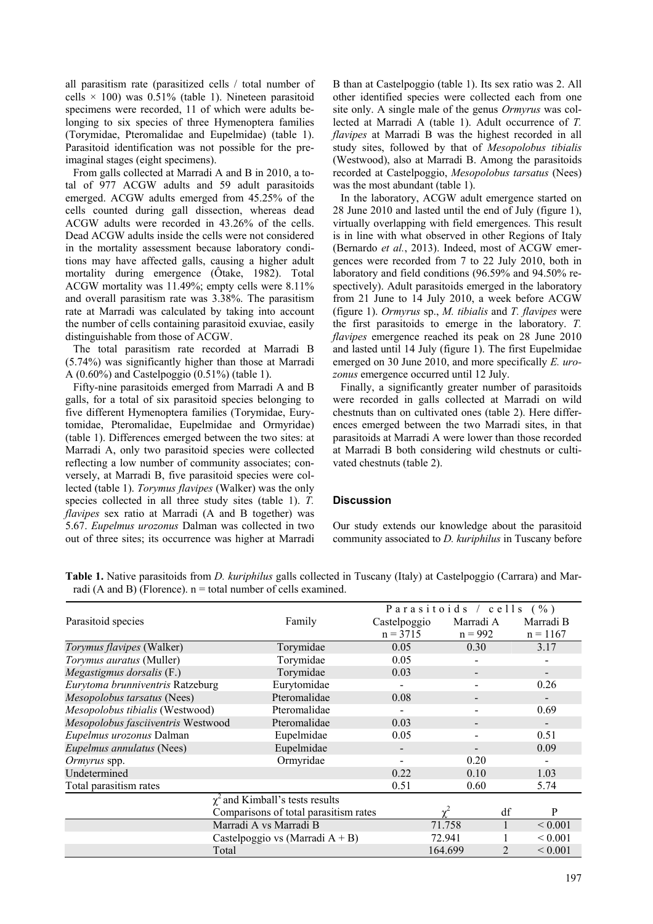all parasitism rate (parasitized cells / total number of cells  $\times$  100) was 0.51% (table 1). Nineteen parasitoid specimens were recorded, 11 of which were adults belonging to six species of three Hymenoptera families (Torymidae, Pteromalidae and Eupelmidae) (table 1). Parasitoid identification was not possible for the preimaginal stages (eight specimens).

From galls collected at Marradi A and B in 2010, a total of 977 ACGW adults and 59 adult parasitoids emerged. ACGW adults emerged from 45.25% of the cells counted during gall dissection, whereas dead ACGW adults were recorded in 43.26% of the cells. Dead ACGW adults inside the cells were not considered in the mortality assessment because laboratory conditions may have affected galls, causing a higher adult mortality during emergence (Ôtake, 1982). Total ACGW mortality was 11.49%; empty cells were 8.11% and overall parasitism rate was 3.38%. The parasitism rate at Marradi was calculated by taking into account the number of cells containing parasitoid exuviae, easily distinguishable from those of ACGW.

The total parasitism rate recorded at Marradi B (5.74%) was significantly higher than those at Marradi A (0.60%) and Castelpoggio (0.51%) (table 1).

Fifty-nine parasitoids emerged from Marradi A and B galls, for a total of six parasitoid species belonging to five different Hymenoptera families (Torymidae, Eurytomidae, Pteromalidae, Eupelmidae and Ormyridae) (table 1). Differences emerged between the two sites: at Marradi A, only two parasitoid species were collected reflecting a low number of community associates; conversely, at Marradi B, five parasitoid species were collected (table 1). *Torymus flavipes* (Walker) was the only species collected in all three study sites (table 1). *T. flavipes* sex ratio at Marradi (A and B together) was 5.67. *Eupelmus urozonus* Dalman was collected in two out of three sites; its occurrence was higher at Marradi

B than at Castelpoggio (table 1). Its sex ratio was 2. All other identified species were collected each from one site only. A single male of the genus *Ormyrus* was collected at Marradi A (table 1). Adult occurrence of *T. flavipes* at Marradi B was the highest recorded in all study sites, followed by that of *Mesopolobus tibialis* (Westwood), also at Marradi B. Among the parasitoids recorded at Castelpoggio, *Mesopolobus tarsatus* (Nees) was the most abundant (table 1).

In the laboratory, ACGW adult emergence started on 28 June 2010 and lasted until the end of July (figure 1), virtually overlapping with field emergences. This result is in line with what observed in other Regions of Italy (Bernardo *et al.*, 2013). Indeed, most of ACGW emergences were recorded from 7 to 22 July 2010, both in laboratory and field conditions (96.59% and 94.50% respectively). Adult parasitoids emerged in the laboratory from 21 June to 14 July 2010, a week before ACGW (figure 1). *Ormyrus* sp., *M. tibialis* and *T. flavipes* were the first parasitoids to emerge in the laboratory. *T. flavipes* emergence reached its peak on 28 June 2010 and lasted until 14 July (figure 1). The first Eupelmidae emerged on 30 June 2010, and more specifically *E. urozonus* emergence occurred until 12 July.

Finally, a significantly greater number of parasitoids were recorded in galls collected at Marradi on wild chestnuts than on cultivated ones (table 2). Here differences emerged between the two Marradi sites, in that parasitoids at Marradi A were lower than those recorded at Marradi B both considering wild chestnuts or cultivated chestnuts (table 2).

## **Discussion**

Our study extends our knowledge about the parasitoid community associated to *D. kuriphilus* in Tuscany before

|                                       |              | Parasitoids / cells (%) |                              |              |  |
|---------------------------------------|--------------|-------------------------|------------------------------|--------------|--|
| Parasitoid species                    | Family       | Castelpoggio            | Marradi A                    | Marradi B    |  |
|                                       |              | $n = 3715$              | $n = 992$                    | $n = 1167$   |  |
| Torymus flavipes (Walker)             | Torymidae    | 0.05                    | 0.30<br>3.17                 |              |  |
| Torymus auratus (Muller)              | Torymidae    | 0.05                    | $\overline{\phantom{a}}$     |              |  |
| Megastigmus dorsalis (F.)             | Torymidae    | 0.03                    |                              |              |  |
| Eurytoma brunniventris Ratzeburg      | Eurytomidae  |                         |                              | 0.26         |  |
| Mesopolobus tarsatus (Nees)           | Pteromalidae | 0.08                    |                              |              |  |
| Mesopolobus tibialis (Westwood)       | Pteromalidae |                         |                              | 0.69         |  |
| Mesopolobus fasciiventris Westwood    | Pteromalidae | 0.03                    | $\qquad \qquad \blacksquare$ |              |  |
| Eupelmus urozonus Dalman              | Eupelmidae   | 0.05                    |                              | 0.51         |  |
| Eupelmus annulatus (Nees)             | Eupelmidae   |                         |                              | 0.09         |  |
| <i>Ormyrus</i> spp.                   | Ormyridae    |                         | 0.20                         |              |  |
| Undetermined                          |              | 0.22                    | 0.10                         | 1.03         |  |
| Total parasitism rates                |              | 0.51                    | 0.60                         | 5.74         |  |
| $\chi^2$ and Kimball's tests results  |              |                         |                              |              |  |
| Comparisons of total parasitism rates |              |                         | df                           | P            |  |
| Marradi A vs Marradi B                |              |                         | 71.758                       | ${}_{0.001}$ |  |
| Castelpoggio vs (Marradi $A + B$ )    |              |                         | 72.941                       | ${}_{0.001}$ |  |
| Total                                 |              |                         | 164.699<br>$\mathfrak{D}$    |              |  |

**Table 1.** Native parasitoids from *D. kuriphilus* galls collected in Tuscany (Italy) at Castelpoggio (Carrara) and Marradi (A and B) (Florence).  $n =$  total number of cells examined.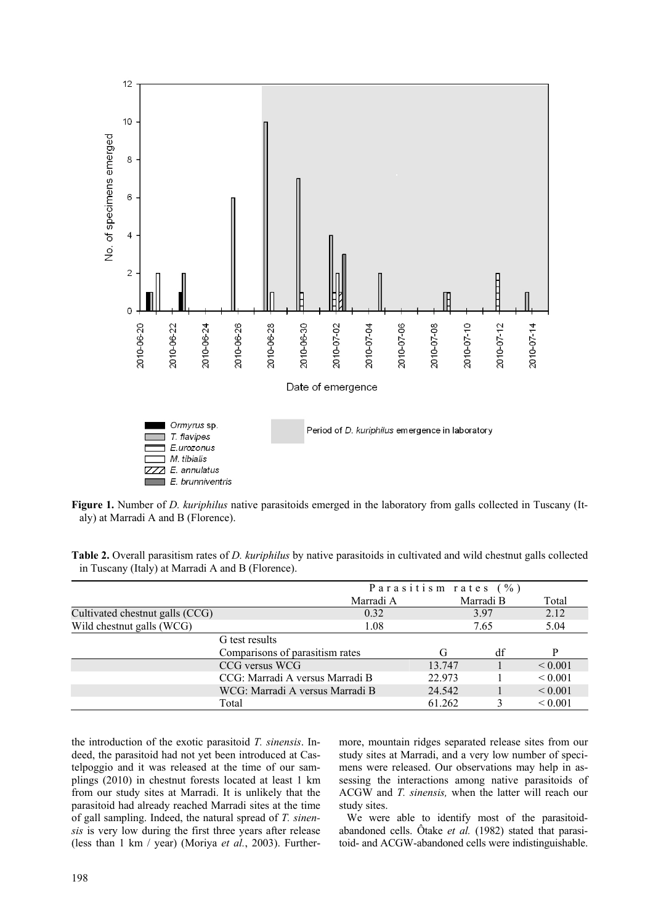

**Figure 1.** Number of *D. kuriphilus* native parasitoids emerged in the laboratory from galls collected in Tuscany (Italy) at Marradi A and B (Florence).

**Table 2.** Overall parasitism rates of *D. kuriphilus* by native parasitoids in cultivated and wild chestnut galls collected in Tuscany (Italy) at Marradi A and B (Florence).

|                                 | Parasitism rates (%)            |           |           |              |              |  |
|---------------------------------|---------------------------------|-----------|-----------|--------------|--------------|--|
|                                 |                                 | Marradi A | Marradi B |              | Total        |  |
| Cultivated chestnut galls (CCG) |                                 | 0.32      | 3.97      |              | 2.12         |  |
| Wild chestnut galls (WCG)       |                                 | 1.08      |           | 5.04<br>7.65 |              |  |
|                                 | G test results                  |           |           |              |              |  |
|                                 | Comparisons of parasitism rates |           | G         | df           | P            |  |
|                                 | CCG versus WCG                  |           | 13.747    |              | ${}_{0.001}$ |  |
|                                 | CCG: Marradi A versus Marradi B |           | 22.973    |              | ${}_{0.001}$ |  |
|                                 | WCG: Marradi A versus Marradi B |           | 24.542    |              | ${}_{0.001}$ |  |
|                                 | Total                           |           | 61.262    |              | ${}_{0.001}$ |  |

the introduction of the exotic parasitoid *T. sinensis*. Indeed, the parasitoid had not yet been introduced at Castelpoggio and it was released at the time of our samplings (2010) in chestnut forests located at least 1 km from our study sites at Marradi. It is unlikely that the parasitoid had already reached Marradi sites at the time of gall sampling. Indeed, the natural spread of *T. sinensis* is very low during the first three years after release (less than 1 km / year) (Moriya *et al.*, 2003). Furthermore, mountain ridges separated release sites from our study sites at Marradi, and a very low number of specimens were released. Our observations may help in assessing the interactions among native parasitoids of ACGW and *T. sinensis,* when the latter will reach our study sites.

We were able to identify most of the parasitoidabandoned cells. Ôtake *et al.* (1982) stated that parasitoid- and ACGW-abandoned cells were indistinguishable.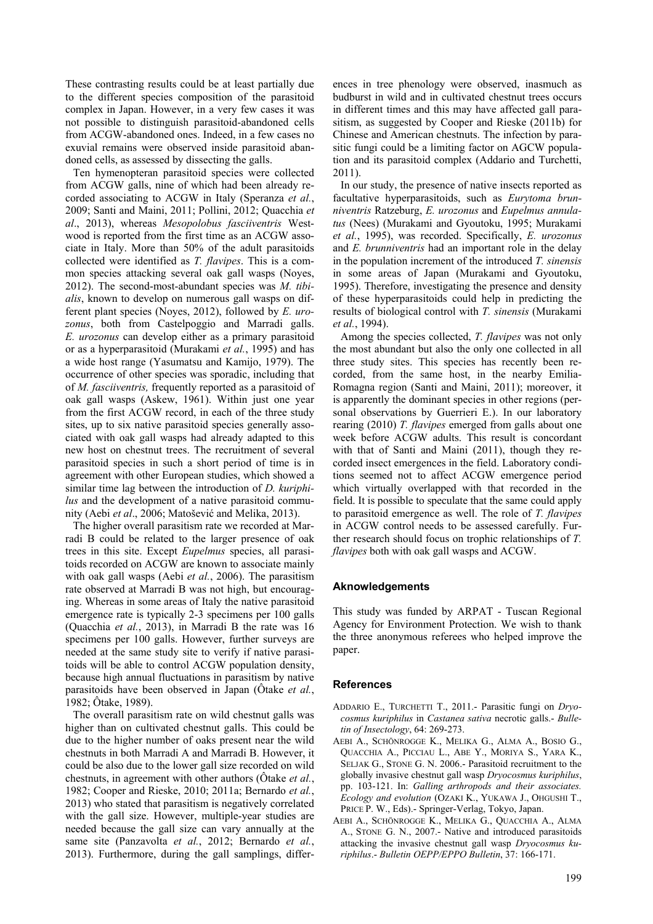These contrasting results could be at least partially due to the different species composition of the parasitoid complex in Japan. However, in a very few cases it was not possible to distinguish parasitoid-abandoned cells from ACGW-abandoned ones. Indeed, in a few cases no exuvial remains were observed inside parasitoid abandoned cells, as assessed by dissecting the galls.

Ten hymenopteran parasitoid species were collected from ACGW galls, nine of which had been already recorded associating to ACGW in Italy (Speranza *et al.*, 2009; Santi and Maini, 2011; Pollini, 2012; Quacchia *et al*., 2013), whereas *Mesopolobus fasciiventris* Westwood is reported from the first time as an ACGW associate in Italy. More than 50% of the adult parasitoids collected were identified as *T. flavipes*. This is a common species attacking several oak gall wasps (Noyes, 2012). The second-most-abundant species was *M. tibialis*, known to develop on numerous gall wasps on different plant species (Noyes, 2012), followed by *E. urozonus*, both from Castelpoggio and Marradi galls. *E. urozonus* can develop either as a primary parasitoid or as a hyperparasitoid (Murakami *et al.*, 1995) and has a wide host range (Yasumatsu and Kamijo, 1979). The occurrence of other species was sporadic, including that of *M. fasciiventris,* frequently reported as a parasitoid of oak gall wasps (Askew, 1961). Within just one year from the first ACGW record, in each of the three study sites, up to six native parasitoid species generally associated with oak gall wasps had already adapted to this new host on chestnut trees. The recruitment of several parasitoid species in such a short period of time is in agreement with other European studies, which showed a similar time lag between the introduction of *D. kuriphilus* and the development of a native parasitoid community (Aebi *et al*., 2006; Matošević and Melika, 2013).

The higher overall parasitism rate we recorded at Marradi B could be related to the larger presence of oak trees in this site. Except *Eupelmus* species, all parasitoids recorded on ACGW are known to associate mainly with oak gall wasps (Aebi *et al.*, 2006). The parasitism rate observed at Marradi B was not high, but encouraging. Whereas in some areas of Italy the native parasitoid emergence rate is typically 2-3 specimens per 100 galls (Quacchia *et al.*, 2013), in Marradi B the rate was 16 specimens per 100 galls. However, further surveys are needed at the same study site to verify if native parasitoids will be able to control ACGW population density, because high annual fluctuations in parasitism by native parasitoids have been observed in Japan (Ôtake *et al.*, 1982; Ôtake, 1989).

The overall parasitism rate on wild chestnut galls was higher than on cultivated chestnut galls. This could be due to the higher number of oaks present near the wild chestnuts in both Marradi A and Marradi B. However, it could be also due to the lower gall size recorded on wild chestnuts, in agreement with other authors (Ôtake *et al.*, 1982; Cooper and Rieske, 2010; 2011a; Bernardo *et al.*, 2013) who stated that parasitism is negatively correlated with the gall size. However, multiple-year studies are needed because the gall size can vary annually at the same site (Panzavolta *et al.*, 2012; Bernardo *et al.*, 2013). Furthermore, during the gall samplings, differ-

ences in tree phenology were observed, inasmuch as budburst in wild and in cultivated chestnut trees occurs in different times and this may have affected gall parasitism, as suggested by Cooper and Rieske (2011b) for Chinese and American chestnuts. The infection by parasitic fungi could be a limiting factor on AGCW population and its parasitoid complex (Addario and Turchetti, 2011).

In our study, the presence of native insects reported as facultative hyperparasitoids, such as *Eurytoma brunniventris* Ratzeburg, *E. urozonus* and *Eupelmus annulatus* (Nees) (Murakami and Gyoutoku, 1995; Murakami *et al.*, 1995), was recorded. Specifically, *E. urozonus* and *E. brunniventris* had an important role in the delay in the population increment of the introduced *T. sinensis*  in some areas of Japan (Murakami and Gyoutoku, 1995). Therefore, investigating the presence and density of these hyperparasitoids could help in predicting the results of biological control with *T. sinensis* (Murakami *et al.*, 1994).

Among the species collected, *T. flavipes* was not only the most abundant but also the only one collected in all three study sites. This species has recently been recorded, from the same host, in the nearby Emilia-Romagna region (Santi and Maini, 2011); moreover, it is apparently the dominant species in other regions (personal observations by Guerrieri E.). In our laboratory rearing (2010) *T. flavipes* emerged from galls about one week before ACGW adults. This result is concordant with that of Santi and Maini (2011), though they recorded insect emergences in the field. Laboratory conditions seemed not to affect ACGW emergence period which virtually overlapped with that recorded in the field. It is possible to speculate that the same could apply to parasitoid emergence as well. The role of *T. flavipes*  in ACGW control needs to be assessed carefully. Further research should focus on trophic relationships of *T. flavipes* both with oak gall wasps and ACGW.

#### **Aknowledgements**

This study was funded by ARPAT - Tuscan Regional Agency for Environment Protection. We wish to thank the three anonymous referees who helped improve the paper.

#### **References**

- ADDARIO E., TURCHETTI T., 2011.- Parasitic fungi on *Dryocosmus kuriphilus* in *Castanea sativa* necrotic galls.- *Bulletin of Insectology*, 64: 269-273.
- AEBI A., SCHÖNROGGE K., MELIKA G., ALMA A., BOSIO G., QUACCHIA A., PICCIAU L., ABE Y., MORIYA S., YARA K., SELJAK G., STONE G. N. 2006.- Parasitoid recruitment to the globally invasive chestnut gall wasp *Dryocosmus kuriphilus*, pp. 103-121. In: *Galling arthropods and their associates. Ecology and evolution* (OZAKI K., YUKAWA J., OHGUSHI T., PRICE P. W., Eds).- Springer-Verlag, Tokyo, Japan.
- AEBI A., SCHÖNROGGE K., MELIKA G., QUACCHIA A., ALMA A., STONE G. N., 2007.- Native and introduced parasitoids attacking the invasive chestnut gall wasp *Dryocosmus kuriphilus*.- *Bulletin OEPP/EPPO Bulletin*, 37: 166-171.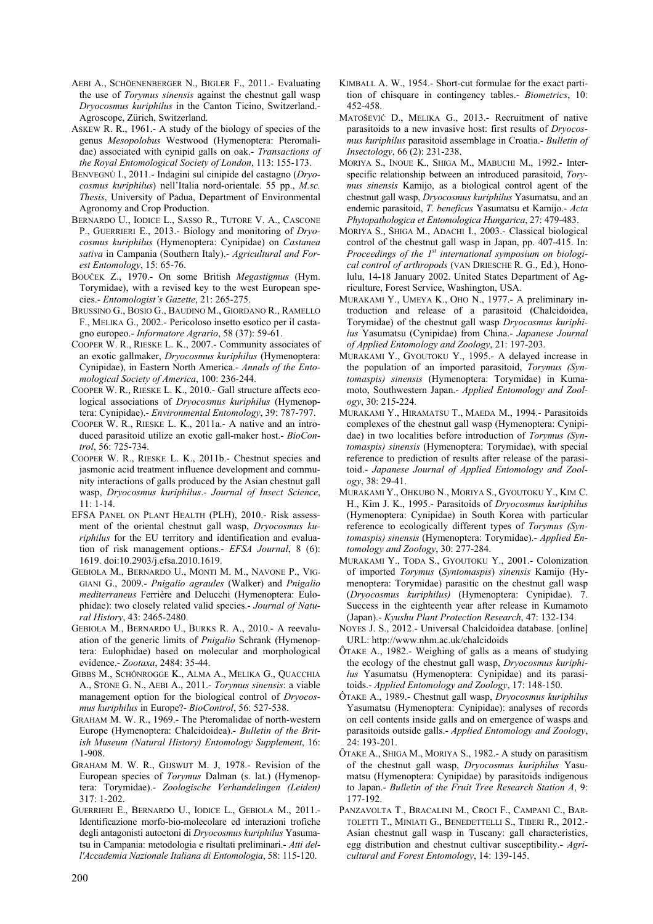- AEBI A., SCHÖENENBERGER N., BIGLER F., 2011.- Evaluating the use of *Torymus sinensis* against the chestnut gall wasp *Dryocosmus kuriphilus* in the Canton Ticino, Switzerland.- Agroscope, Zürich, Switzerland.
- ASKEW R. R., 1961.- A study of the biology of species of the genus *Mesopolobus* Westwood (Hymenoptera: Pteromalidae) associated with cynipid galls on oak.- *Transactions of the Royal Entomological Society of London*, 113: 155-173.
- BENVEGNÙ I., 2011.- Indagini sul cinipide del castagno (*Dryocosmus kuriphilus*) nell'Italia nord-orientale. 55 pp., *M.sc. Thesis*, University of Padua, Department of Environmental Agronomy and Crop Production.
- BERNARDO U., IODICE L., SASSO R., TUTORE V. A., CASCONE P., GUERRIERI E., 2013.- Biology and monitoring of *Dryocosmus kuriphilus* (Hymenoptera: Cynipidae) on *Castanea*  sativa in Campania (Southern Italy).- Agricultural and For*est Entomology*, 15: 65-76.
- BOUČEK Z., 1970.- On some British *Megastigmus* (Hym. Torymidae), with a revised key to the west European species.- *Entomologist's Gazette*, 21: 265-275.
- BRUSSINO G., BOSIO G., BAUDINO M., GIORDANO R., RAMELLO F., MELIKA G., 2002.- Pericoloso insetto esotico per il castagno europeo.- *Informatore Agrario*, 58 (37): 59-61.
- COOPER W. R., RIESKE L. K., 2007.- Community associates of an exotic gallmaker, *Dryocosmus kuriphilus* (Hymenoptera: Cynipidae), in Eastern North America.- *Annals of the Entomological Society of America*, 100: 236-244.
- COOPER W. R., RIESKE L. K., 2010.- Gall structure affects ecological associations of *Dryocosmus kuriphilus* (Hymenoptera: Cynipidae).- *Environmental Entomology*, 39: 787-797.
- COOPER W. R., RIESKE L. K., 2011a.- A native and an introduced parasitoid utilize an exotic gall-maker host.- *BioControl*, 56: 725-734.
- COOPER W. R., RIESKE L. K., 2011b.- Chestnut species and jasmonic acid treatment influence development and community interactions of galls produced by the Asian chestnut gall wasp, *Dryocosmus kuriphilus*.- *Journal of Insect Science*, 11: 1-14.
- EFSA PANEL ON PLANT HEALTH (PLH), 2010.- Risk assessment of the oriental chestnut gall wasp, *Dryocosmus kuriphilus* for the EU territory and identification and evaluation of risk management options.- *EFSA Journal*, 8 (6): 1619. doi:10.2903/j.efsa.2010.1619.
- GEBIOLA M., BERNARDO U., MONTI M. M., NAVONE P., VIG-GIANI G., 2009.- *Pnigalio agraules* (Walker) and *Pnigalio mediterraneus* Ferrière and Delucchi (Hymenoptera: Eulophidae): two closely related valid species.- *Journal of Natural History*, 43: 2465-2480.
- GEBIOLA M., BERNARDO U., BURKS R. A., 2010.- A reevaluation of the generic limits of *Pnigalio* Schrank (Hymenoptera: Eulophidae) based on molecular and morphological evidence.- *Zootaxa*, 2484: 35-44.
- GIBBS M., SCHÖNROGGE K., ALMA A., MELIKA G., QUACCHIA A., STONE G. N., AEBI A., 2011.- *Torymus sinensis*: a viable management option for the biological control of *Dryocosmus kuriphilus* in Europe?- *BioControl*, 56: 527-538.
- GRAHAM M. W. R., 1969.- The Pteromalidae of north-western Europe (Hymenoptera: Chalcidoidea).- *Bulletin of the British Museum (Natural History) Entomology Supplement*, 16: 1-908.
- GRAHAM M. W. R., GIJSWIJT M. J, 1978.- Revision of the European species of *Torymus* Dalman (s. lat.) (Hymenoptera: Torymidae).- *Zoologische Verhandelingen (Leiden)*  317: 1-202.
- GUERRIERI E., BERNARDO U., IODICE L., GEBIOLA M., 2011.- Identificazione morfo-bio-molecolare ed interazioni trofiche degli antagonisti autoctoni di *Dryocosmus kuriphilus* Yasumatsu in Campania: metodologia e risultati preliminari.- *Atti dell'Accademia Nazionale Italiana di Entomologia*, 58: 115-120.
- KIMBALL A. W., 1954.- Short-cut formulae for the exact partition of chisquare in contingency tables.- *Biometrics*, 10: 452-458.
- MATOŠEVIĆ D., MELIKA G., 2013.- Recruitment of native parasitoids to a new invasive host: first results of *Dryocosmus kuriphilus* parasitoid assemblage in Croatia.- *Bulletin of Insectology*, 66 (2): 231-238.
- MORIYA S., INOUE K., SHIGA M., MABUCHI M., 1992.- Interspecific relationship between an introduced parasitoid, *Torymus sinensis* Kamijo, as a biological control agent of the chestnut gall wasp, *Dryocosmus kuriphilus* Yasumatsu, and an endemic parasitoid, *T. beneficus* Yasumatsu et Kamijo.- *Acta Phytopathologica et Entomologica Hungarica*, 27: 479-483.
- MORIYA S., SHIGA M., ADACHI I., 2003.- Classical biological control of the chestnut gall wasp in Japan, pp. 407-415. In: *Proceedings of the 1<sup>st</sup> international symposium on biological control of arthropods* (VAN DRIESCHE R. G., Ed.), Honolulu, 14-18 January 2002. United States Department of Agriculture, Forest Service, Washington, USA.
- MURAKAMI Y., UMEYA K., OHO N., 1977.- A preliminary introduction and release of a parasitoid (Chalcidoidea, Torymidae) of the chestnut gall wasp *Dryocosmus kuriphilus* Yasumatsu (Cynipidae) from China.- *Japanese Journal of Applied Entomology and Zoology*, 21: 197-203.
- MURAKAMI Y., GYOUTOKU Y., 1995.- A delayed increase in the population of an imported parasitoid, *Torymus (Syntomaspis) sinensis* (Hymenoptera: Torymidae) in Kumamoto, Southwestern Japan.- *Applied Entomology and Zoology*, 30: 215-224.
- MURAKAMI Y., HIRAMATSU T., MAEDA M., 1994.- Parasitoids complexes of the chestnut gall wasp (Hymenoptera: Cynipidae) in two localities before introduction of *Torymus (Syntomaspis) sinensis* (Hymenoptera: Torymidae), with special reference to prediction of results after release of the parasitoid.- *Japanese Journal of Applied Entomology and Zoology*, 38: 29-41.
- MURAKAMI Y., OHKUBO N., MORIYA S., GYOUTOKU Y., KIM C. H., Kim J. K., 1995.- Parasitoids of *Dryocosmus kuriphilus* (Hymenoptera: Cynipidae) in South Korea with particular reference to ecologically different types of *Torymus (Syntomaspis) sinensis* (Hymenoptera: Torymidae).- *Applied Entomology and Zoology*, 30: 277-284.
- MURAKAMI Y., TODA S., GYOUTOKU Y., 2001.- Colonization of imported *Torymus* (*Syntomaspis*) *sinensis* Kamijo (Hymenoptera: Torymidae) parasitic on the chestnut gall wasp (*Dryocosmus kuriphilus)* (Hymenoptera: Cynipidae). 7. Success in the eighteenth year after release in Kumamoto (Japan).- *Kyushu Plant Protection Research*, 47: 132-134.
- NOYES J. S., 2012.- Universal Chalcidoidea database. [online] URL: http://www.nhm.ac.uk/chalcidoids
- ÔTAKE A., 1982.- Weighing of galls as a means of studying the ecology of the chestnut gall wasp, *Dryocosmus kuriphilus* Yasumatsu (Hymenoptera: Cynipidae) and its parasitoids.- *Applied Entomology and Zoology*, 17: 148-150.
- ÔTAKE A., 1989.- Chestnut gall wasp, *Dryocosmus kuriphilus* Yasumatsu (Hymenoptera: Cynipidae): analyses of records on cell contents inside galls and on emergence of wasps and parasitoids outside galls.- *Applied Entomology and Zoology*, 24: 193-201.
- ÔTAKE A., SHIGA M., MORIYA S., 1982.- A study on parasitism of the chestnut gall wasp, *Dryocosmus kuriphilus* Yasumatsu (Hymenoptera: Cynipidae) by parasitoids indigenous to Japan.- *Bulletin of the Fruit Tree Research Station A*, 9: 177-192.
- PANZAVOLTA T., BRACALINI M., CROCI F., CAMPANI C., BAR-TOLETTI T., MINIATI G., BENEDETTELLI S., TIBERI R., 2012.- Asian chestnut gall wasp in Tuscany: gall characteristics, egg distribution and chestnut cultivar susceptibility.- *Agricultural and Forest Entomology*, 14: 139-145.